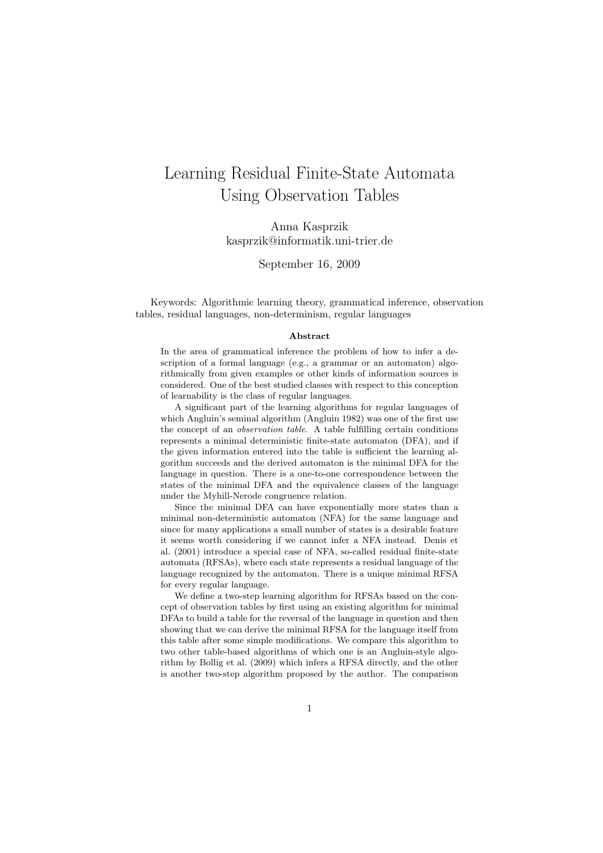# Learning Residual Finite-State Automata Using Observation Tables

Anna Kasprzik kasprzik@informatik.uni-trier.de

September 16, 2009

Keywords: Algorithmic learning theory, grammatical inference, observation tables, residual languages, non-determinism, regular languages

#### Abstract

In the area of grammatical inference the problem of how to infer a description of a formal language (e.g., a grammar or an automaton) algorithmically from given examples or other kinds of information sources is considered. One of the best studied classes with respect to this conception of learnability is the class of regular languages.

A significant part of the learning algorithms for regular languages of which Angluin's seminal algorithm (Angluin 1982) was one of the first use the concept of an observation table. A table fulfilling certain conditions represents a minimal deterministic finite-state automaton (DFA), and if the given information entered into the table is sufficient the learning algorithm succeeds and the derived automaton is the minimal DFA for the language in question. There is a one-to-one correspondence between the states of the minimal DFA and the equivalence classes of the language under the Myhill-Nerode congruence relation.

Since the minimal DFA can have exponentially more states than a minimal non-deterministic automaton (NFA) for the same language and since for many applications a small number of states is a desirable feature it seems worth considering if we cannot infer a NFA instead. Denis et al. (2001) introduce a special case of NFA, so-called residual finite-state automata (RFSAs), where each state represents a residual language of the language recognized by the automaton. There is a unique minimal RFSA for every regular language.

We define a two-step learning algorithm for RFSAs based on the concept of observation tables by first using an existing algorithm for minimal DFAs to build a table for the reversal of the language in question and then showing that we can derive the minimal RFSA for the language itself from this table after some simple modifications. We compare this algorithm to two other table-based algorithms of which one is an Angluin-style algorithm by Bollig et al. (2009) which infers a RFSA directly, and the other is another two-step algorithm proposed by the author. The comparison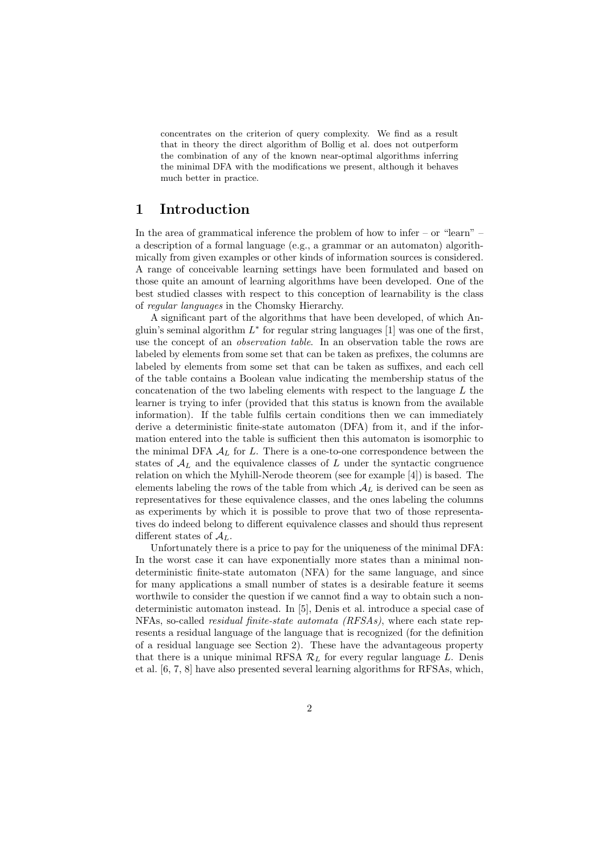concentrates on the criterion of query complexity. We find as a result that in theory the direct algorithm of Bollig et al. does not outperform the combination of any of the known near-optimal algorithms inferring the minimal DFA with the modifications we present, although it behaves much better in practice.

## 1 Introduction

In the area of grammatical inference the problem of how to infer – or "learn" – a description of a formal language (e.g., a grammar or an automaton) algorithmically from given examples or other kinds of information sources is considered. A range of conceivable learning settings have been formulated and based on those quite an amount of learning algorithms have been developed. One of the best studied classes with respect to this conception of learnability is the class of regular languages in the Chomsky Hierarchy.

A significant part of the algorithms that have been developed, of which Angluin's seminal algorithm  $L^*$  for regular string languages [1] was one of the first, use the concept of an observation table. In an observation table the rows are labeled by elements from some set that can be taken as prefixes, the columns are labeled by elements from some set that can be taken as suffixes, and each cell of the table contains a Boolean value indicating the membership status of the concatenation of the two labeling elements with respect to the language L the learner is trying to infer (provided that this status is known from the available information). If the table fulfils certain conditions then we can immediately derive a deterministic finite-state automaton (DFA) from it, and if the information entered into the table is sufficient then this automaton is isomorphic to the minimal DFA  $A_L$  for L. There is a one-to-one correspondence between the states of  $A_L$  and the equivalence classes of L under the syntactic congruence relation on which the Myhill-Nerode theorem (see for example [4]) is based. The elements labeling the rows of the table from which  $A_L$  is derived can be seen as representatives for these equivalence classes, and the ones labeling the columns as experiments by which it is possible to prove that two of those representatives do indeed belong to different equivalence classes and should thus represent different states of  $A_L$ .

Unfortunately there is a price to pay for the uniqueness of the minimal DFA: In the worst case it can have exponentially more states than a minimal nondeterministic finite-state automaton (NFA) for the same language, and since for many applications a small number of states is a desirable feature it seems worthwile to consider the question if we cannot find a way to obtain such a nondeterministic automaton instead. In [5], Denis et al. introduce a special case of NFAs, so-called residual finite-state automata (RFSAs), where each state represents a residual language of the language that is recognized (for the definition of a residual language see Section 2). These have the advantageous property that there is a unique minimal RFSA  $\mathcal{R}_L$  for every regular language L. Denis et al. [6, 7, 8] have also presented several learning algorithms for RFSAs, which,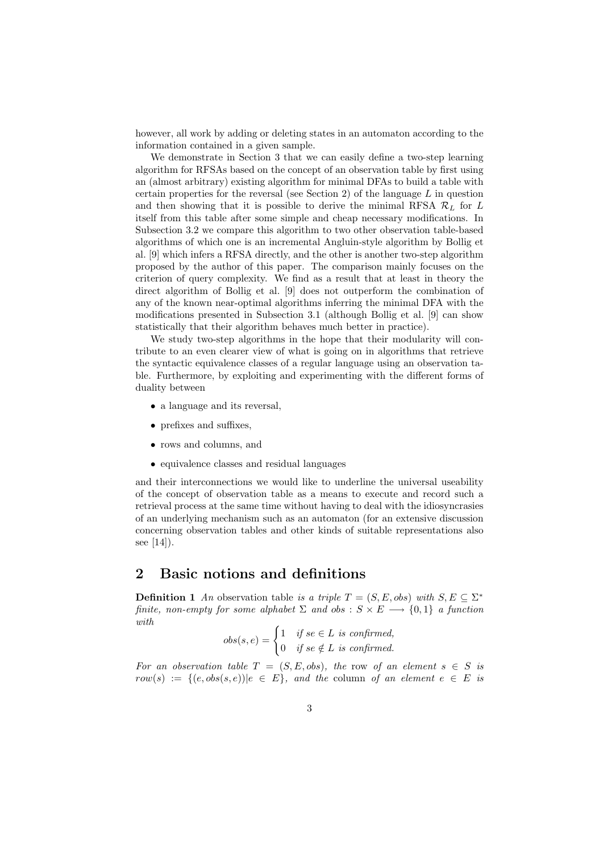however, all work by adding or deleting states in an automaton according to the information contained in a given sample.

We demonstrate in Section 3 that we can easily define a two-step learning algorithm for RFSAs based on the concept of an observation table by first using an (almost arbitrary) existing algorithm for minimal DFAs to build a table with certain properties for the reversal (see Section 2) of the language  $L$  in question and then showing that it is possible to derive the minimal RFSA  $\mathcal{R}_L$  for L itself from this table after some simple and cheap necessary modifications. In Subsection 3.2 we compare this algorithm to two other observation table-based algorithms of which one is an incremental Angluin-style algorithm by Bollig et al. [9] which infers a RFSA directly, and the other is another two-step algorithm proposed by the author of this paper. The comparison mainly focuses on the criterion of query complexity. We find as a result that at least in theory the direct algorithm of Bollig et al. [9] does not outperform the combination of any of the known near-optimal algorithms inferring the minimal DFA with the modifications presented in Subsection 3.1 (although Bollig et al. [9] can show statistically that their algorithm behaves much better in practice).

We study two-step algorithms in the hope that their modularity will contribute to an even clearer view of what is going on in algorithms that retrieve the syntactic equivalence classes of a regular language using an observation table. Furthermore, by exploiting and experimenting with the different forms of duality between

- a language and its reversal,
- prefixes and suffixes,
- rows and columns, and
- equivalence classes and residual languages

and their interconnections we would like to underline the universal useability of the concept of observation table as a means to execute and record such a retrieval process at the same time without having to deal with the idiosyncrasies of an underlying mechanism such as an automaton (for an extensive discussion concerning observation tables and other kinds of suitable representations also see [14]).

## 2 Basic notions and definitions

**Definition 1** An observation table is a triple  $T = (S, E, obs)$  with  $S, E \subseteq \Sigma^*$ finite, non-empty for some alphabet  $\Sigma$  and obs :  $S \times E \longrightarrow \{0,1\}$  a function with

$$
obs(s, e) = \begin{cases} 1 & \text{if } se \in L \text{ is confirmed,} \\ 0 & \text{if } se \notin L \text{ is confirmed.} \end{cases}
$$

For an observation table  $T = (S, E, obs)$ , the row of an element  $s \in S$  is  $row(s) := \{(e, obs(s, e)) | e \in E\}, and the column of an element  $e \in E$  is$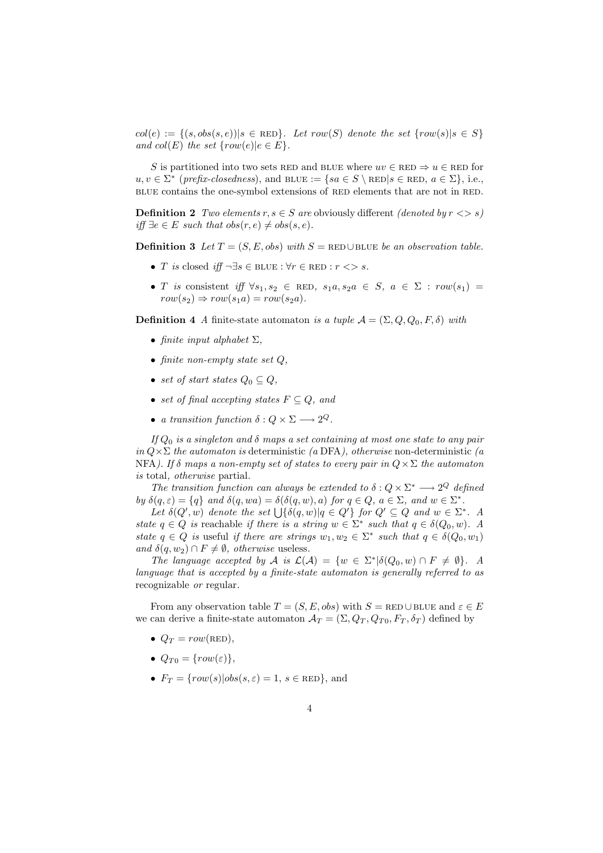$col(e) := \{(s, obs(s, e)) | s \in \text{RED}\}\text{.}$  Let row(S) denote the set  $\{row(s) | s \in S\}$ and  $col(E)$  the set  $\{row(e)|e \in E\}.$ 

S is partitioned into two sets RED and BLUE where  $uv \in$  RED  $\Rightarrow u \in$  RED for  $u, v \in \Sigma^*$  (prefix-closedness), and BLUE := {sa  $\in S \setminus \text{RED}|s \in \text{RED}, a \in \Sigma$ }, i.e., BLUE contains the one-symbol extensions of RED elements that are not in RED.

**Definition 2** Two elements  $r, s \in S$  are obviously different (denoted by  $r \leq s$ ) *iff* ∃e ∈ E such that  $obs(r, e) \neq obs(s, e)$ .

Definition 3 Let  $T = (S, E, obs)$  with  $S = \text{RED} \cup \text{BLE}$  be an observation table.

- T is closed iff  $\neg \exists s \in \text{BLUE} : \forall r \in \text{RED} : r \iff s$ .
- T is consistent iff  $\forall s_1, s_2 \in \text{RED}, s_1a, s_2a \in S, a \in \Sigma : row(s_1) =$  $row(s_2) \Rightarrow row(s_1a) = row(s_2a).$

**Definition 4** A finite-state automaton is a tuple  $A = (\Sigma, Q, Q_0, F, \delta)$  with

- finite input alphabet  $\Sigma$ ,
- finite non-empty state set  $Q$ ,
- set of start states  $Q_0 \subset Q$ ,
- set of final accepting states  $F \subseteq Q$ , and
- a transition function  $\delta: Q \times \Sigma \longrightarrow 2^Q$ .

If  $Q_0$  is a singleton and  $\delta$  maps a set containing at most one state to any pair in  $Q \times \Sigma$  the automaton is deterministic (a DFA), otherwise non-deterministic (a NFA). If  $\delta$  maps a non-empty set of states to every pair in  $Q \times \Sigma$  the automaton is total, otherwise partial.

The transition function can always be extended to  $\delta: Q \times \Sigma^* \longrightarrow 2^Q$  defined by  $\delta(q,\varepsilon) = \{q\}$  and  $\delta(q, wa) = \delta(\delta(q, w), a)$  for  $q \in Q, a \in \Sigma$ , and  $w \in \Sigma^*$ .

Let  $\delta(Q', w)$  denote the set  $\bigcup {\delta(q, w) | q \in Q'}$  for  $Q' \subseteq Q$  and  $w \in \Sigma^*$ . A state  $q \in Q$  is reachable if there is a string  $w \in \Sigma^*$  such that  $q \in \delta(Q_0, w)$ . A state  $q \in Q$  is useful if there are strings  $w_1, w_2 \in \Sigma^*$  such that  $q \in \delta(Q_0, w_1)$ and  $\delta(q, w_2) \cap F \neq \emptyset$ , otherwise useless.

The language accepted by A is  $\mathcal{L}(\mathcal{A}) = \{w \in \Sigma^* | \delta(Q_0, w) \cap F \neq \emptyset \}.$  A language that is accepted by a finite-state automaton is generally referred to as recognizable or regular.

From any observation table  $T = (S, E, obs)$  with  $S = \text{RED} \cup \text{BLE}$  and  $\varepsilon \in E$ we can derive a finite-state automaton  $\mathcal{A}_T = (\Sigma, Q_T, Q_{T0}, F_T, \delta_T)$  defined by

- $Q_T = row(\text{RED})$ .
- $Q_{T0} = \{row(\varepsilon)\},\;$
- $F_T = \{row(s)|obs(s, \varepsilon) = 1, s \in \text{RED}\},\$ and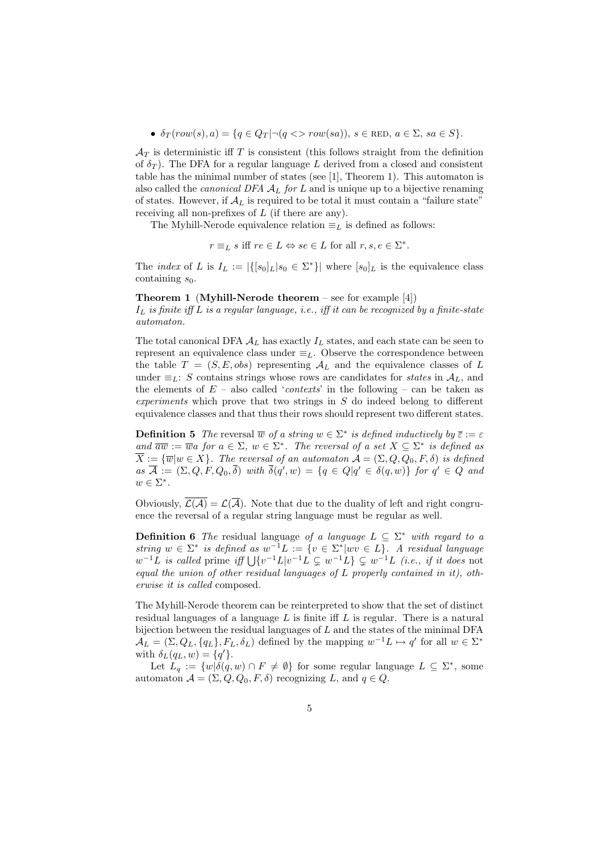•  $\delta_T(\text{row}(s), a) = \{q \in Q_T | \neg (q \leq r \text{row}(sa)), s \in \text{RED}, a \in \Sigma, sa \in S \}.$ 

 $\mathcal{A}_T$  is deterministic iff T is consistent (this follows straight from the definition of  $\delta_T$ ). The DFA for a regular language L derived from a closed and consistent table has the minimal number of states (see [1], Theorem 1). This automaton is also called the *canonical DFA*  $A_L$  for  $L$  and is unique up to a bijective renaming of states. However, if  $A_L$  is required to be total it must contain a "failure state" receiving all non-prefixes of  $L$  (if there are any).

The Myhill-Nerode equivalence relation  $\equiv_L$  is defined as follows:

 $r \equiv_L s \text{ iff } re \in L \Leftrightarrow se \in L \text{ for all } r, s, e \in \Sigma^*.$ 

The *index* of L is  $I_L := |\{ [s_0]_L | s_0 \in \Sigma^* \}|$  where  $[s_0]_L$  is the equivalence class containing  $s_0$ .

#### **Theorem 1 (Myhill-Nerode theorem** – see for example  $[4]$ )

 $I_L$  is finite iff L is a regular language, i.e., iff it can be recognized by a finite-state automaton.

The total canonical DFA  $A_L$  has exactly  $I_L$  states, and each state can be seen to represent an equivalence class under  $\equiv_L$ . Observe the correspondence between the table  $T = (S, E, obs)$  representing  $A_L$  and the equivalence classes of L under  $\equiv_L: S$  contains strings whose rows are candidates for *states* in  $A_L$ , and the elements of  $E$  – also called '*contexts*' in the following – can be taken as experiments which prove that two strings in S do indeed belong to different equivalence classes and that thus their rows should represent two different states.

**Definition 5** The reversal  $\overline{w}$  of a string  $w \in \Sigma^*$  is defined inductively by  $\overline{\varepsilon} := \varepsilon$ and  $\overline{aw} := \overline{w}a$  for  $a \in \Sigma$ ,  $w \in \Sigma^*$ . The reversal of a set  $X \subseteq \Sigma^*$  is defined as  $\overline{X} := {\overline{w}} | w \in X$ . The reversal of an automaton  $\mathcal{A} = (\Sigma, Q, Q_0, F, \delta)$  is defined  $as\ \overline{\mathcal{A}} := (\Sigma, Q, F, Q_0, \overline{\delta})\ \text{with}\ \overline{\delta}(q', w) = \{q \in Q | q' \in \delta(q, w)\}\ \text{for}\ q' \in Q\ \text{and}$  $w \in \Sigma^*$ .

Obviously,  $\mathcal{L}(\overline{\mathcal{A}}) = \mathcal{L}(\overline{\mathcal{A}})$ . Note that due to the duality of left and right congruence the reversal of a regular string language must be regular as well.

**Definition 6** The residual language of a language  $L \subseteq \Sigma^*$  with regard to a string  $w \in \Sigma^*$  is defined as  $w^{-1}L := \{v \in \Sigma^* | wv \in L\}$ . A residual language  $w^{-1}L$  is called prime iff  $\bigcup \{v^{-1}L|v^{-1}L\subseteq w^{-1}L\} \subsetneq w^{-1}L$  (i.e., if it does not equal the union of other residual languages of L properly contained in it), otherwise it is called composed.

The Myhill-Nerode theorem can be reinterpreted to show that the set of distinct residual languages of a language  $L$  is finite iff  $L$  is regular. There is a natural bijection between the residual languages of  $L$  and the states of the minimal DFA  $\mathcal{A}_L = (\Sigma, Q_L, \{q_L\}, F_L, \delta_L)$  defined by the mapping  $w^{-1}L \mapsto q'$  for all  $w \in \Sigma^*$ with  $\delta_L(q_L, w) = \{q'\}.$ 

Let  $L_q := \{w | \delta(q, w) \cap F \neq \emptyset \}$  for some regular language  $L \subseteq \Sigma^*$ , some automaton  $A = (\Sigma, Q, Q_0, F, \delta)$  recognizing L, and  $q \in Q$ .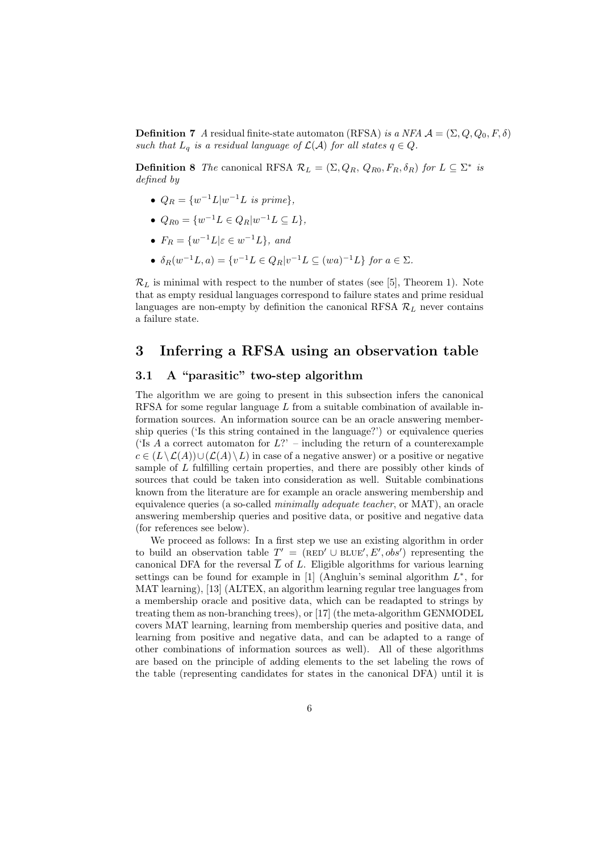**Definition 7** A residual finite-state automaton (RFSA) is a NFA  $\mathcal{A} = (\Sigma, Q, Q_0, F, \delta)$ such that  $L_q$  is a residual language of  $\mathcal{L}(\mathcal{A})$  for all states  $q \in Q$ .

**Definition 8** The canonical RFSA  $\mathcal{R}_L = (\Sigma, Q_R, Q_{R0}, F_R, \delta_R)$  for  $L \subseteq \Sigma^*$  is defined by

- $Q_R = \{w^{-1}L|w^{-1}L \text{ is prime}\},\$
- $Q_{R0} = \{w^{-1}L \in Q_R | w^{-1}L \subseteq L\},\$
- $F_R = \{w^{-1}L | \varepsilon \in w^{-1}L\}$ , and
- $\delta_R(w^{-1}L, a) = \{v^{-1}L \in Q_R | v^{-1}L \subseteq (wa)^{-1}L \}$  for  $a \in \Sigma$ .

 $\mathcal{R}_L$  is minimal with respect to the number of states (see [5], Theorem 1). Note that as empty residual languages correspond to failure states and prime residual languages are non-empty by definition the canonical RFSA  $\mathcal{R}_L$  never contains a failure state.

### 3 Inferring a RFSA using an observation table

### 3.1 A "parasitic" two-step algorithm

The algorithm we are going to present in this subsection infers the canonical RFSA for some regular language  $L$  from a suitable combination of available information sources. An information source can be an oracle answering membership queries ('Is this string contained in the language?') or equivalence queries ('Is A a correct automaton for  $L$ ?' – including the return of a counterexample  $c \in (L \setminus \mathcal{L}(A)) \cup (\mathcal{L}(A) \setminus L)$  in case of a negative answer) or a positive or negative sample of L fulfilling certain properties, and there are possibly other kinds of sources that could be taken into consideration as well. Suitable combinations known from the literature are for example an oracle answering membership and equivalence queries (a so-called minimally adequate teacher, or MAT), an oracle answering membership queries and positive data, or positive and negative data (for references see below).

We proceed as follows: In a first step we use an existing algorithm in order to build an observation table  $T' = (RED' \cup BLE', E', obs')$  representing the canonical DFA for the reversal  $\overline{L}$  of L. Eligible algorithms for various learning settings can be found for example in  $[1]$  (Angluin's seminal algorithm  $L^*$ , for MAT learning), [13] (ALTEX, an algorithm learning regular tree languages from a membership oracle and positive data, which can be readapted to strings by treating them as non-branching trees), or [17] (the meta-algorithm GENMODEL covers MAT learning, learning from membership queries and positive data, and learning from positive and negative data, and can be adapted to a range of other combinations of information sources as well). All of these algorithms are based on the principle of adding elements to the set labeling the rows of the table (representing candidates for states in the canonical DFA) until it is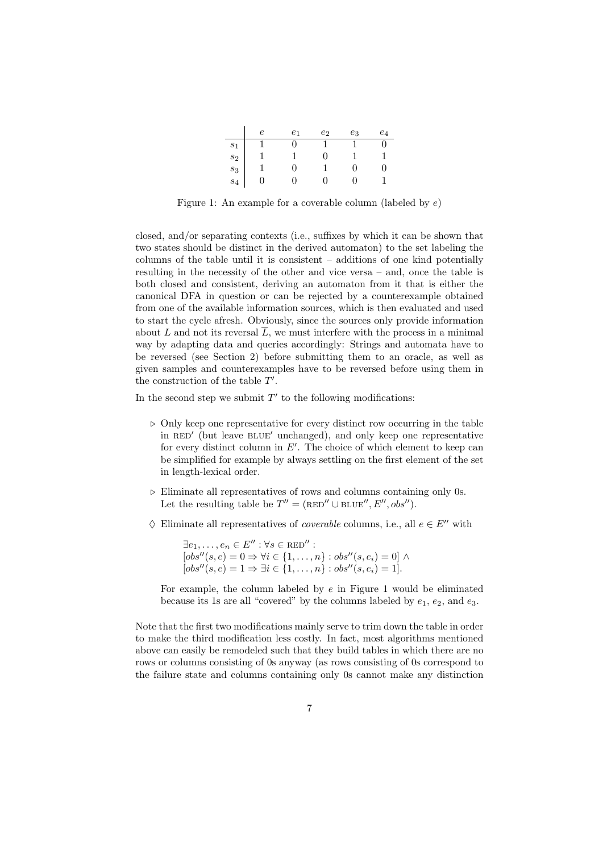|                                                       | e <sub>1</sub> | $e_2$ | $e_3$ | $e_4$ |
|-------------------------------------------------------|----------------|-------|-------|-------|
|                                                       |                |       |       |       |
|                                                       |                |       |       |       |
| $\begin{aligned} s_1\\ s_2\\ s_3\\ s_4 \end{aligned}$ |                |       |       |       |
|                                                       |                |       |       |       |

Figure 1: An example for a coverable column (labeled by  $e$ )

closed, and/or separating contexts (i.e., suffixes by which it can be shown that two states should be distinct in the derived automaton) to the set labeling the columns of the table until it is consistent – additions of one kind potentially resulting in the necessity of the other and vice versa – and, once the table is both closed and consistent, deriving an automaton from it that is either the canonical DFA in question or can be rejected by a counterexample obtained from one of the available information sources, which is then evaluated and used to start the cycle afresh. Obviously, since the sources only provide information about L and not its reversal  $\overline{L}$ , we must interfere with the process in a minimal way by adapting data and queries accordingly: Strings and automata have to be reversed (see Section 2) before submitting them to an oracle, as well as given samples and counterexamples have to be reversed before using them in the construction of the table  $T'$ .

In the second step we submit  $T'$  to the following modifications:

- $\triangleright$  Only keep one representative for every distinct row occurring in the table in RED' (but leave BLUE' unchanged), and only keep one representative for every distinct column in  $E'$ . The choice of which element to keep can be simplified for example by always settling on the first element of the set in length-lexical order.
- $\triangleright$  Eliminate all representatives of rows and columns containing only 0s. Let the resulting table be  $T'' = (\text{RED}'' \cup \text{BLE}'', E'', obs'').$
- $\diamond$  Eliminate all representatives of *coverable* columns, i.e., all  $e \in E''$  with

 $\exists e_1, \ldots, e_n \in E'' : \forall s \in \text{RED}'' :$  $[obs''(s, e) = 0 \Rightarrow \forall i \in \{1, ..., n\} : obs''(s, e_i) = 0] \land$  $[obs''(s, e) = 1 \Rightarrow \exists i \in \{1, ..., n\} : obs''(s, e_i) = 1].$ 

For example, the column labeled by  $e$  in Figure 1 would be eliminated because its 1s are all "covered" by the columns labeled by  $e_1, e_2$ , and  $e_3$ .

Note that the first two modifications mainly serve to trim down the table in order to make the third modification less costly. In fact, most algorithms mentioned above can easily be remodeled such that they build tables in which there are no rows or columns consisting of 0s anyway (as rows consisting of 0s correspond to the failure state and columns containing only 0s cannot make any distinction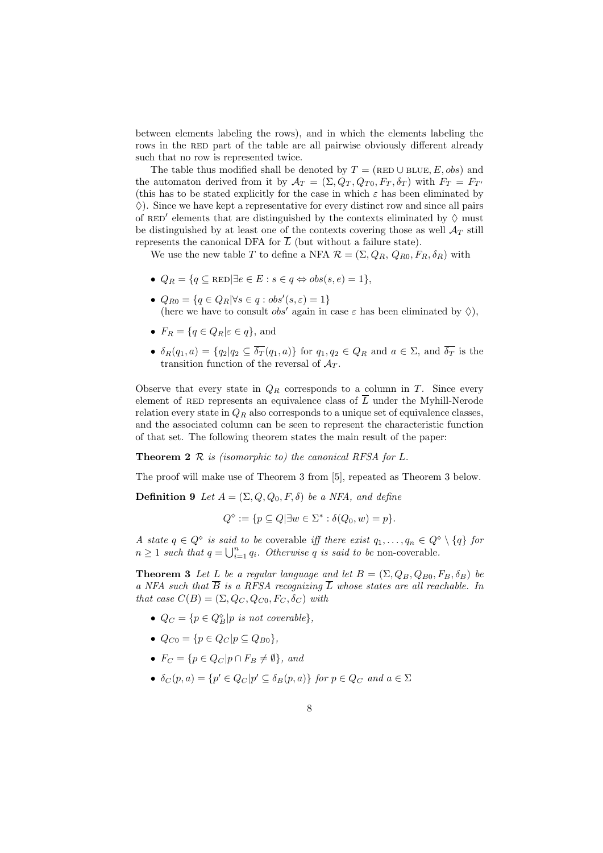between elements labeling the rows), and in which the elements labeling the rows in the RED part of the table are all pairwise obviously different already such that no row is represented twice.

The table thus modified shall be denoted by  $T = (RED \cup BLE, E, obs)$  and the automaton derived from it by  $\mathcal{A}_T = (\Sigma, Q_T, Q_{T0}, F_T, \delta_T)$  with  $F_T = F_{T}$ (this has to be stated explicitly for the case in which  $\varepsilon$  has been eliminated by  $\Diamond$ ). Since we have kept a representative for every distinct row and since all pairs of RED' elements that are distinguished by the contexts eliminated by  $\Diamond$  must be distinguished by at least one of the contexts covering those as well  $\mathcal{A}_T$  still represents the canonical DFA for  $\overline{L}$  (but without a failure state).

We use the new table T to define a NFA  $\mathcal{R} = (\Sigma, Q_R, Q_{R0}, F_R, \delta_R)$  with

- $Q_R = \{q \subseteq \text{RED} | \exists e \in E : s \in q \Leftrightarrow obs(s, e) = 1 \},\$
- $Q_{R0} = \{q \in Q_R | \forall s \in q : obs'(s, \varepsilon) = 1\}$ (here we have to consult  $obs'$  again in case  $\varepsilon$  has been eliminated by  $\diamondsuit$ ),
- $F_R = \{q \in Q_R | \varepsilon \in q\}$ , and
- $\delta_R(q_1, a) = \{q_2 | q_2 \subseteq \overline{\delta_T}(q_1, a)\}\$ for  $q_1, q_2 \in Q_R$  and  $a \in \Sigma$ , and  $\overline{\delta_T}$  is the transition function of the reversal of  $A_T$ .

Observe that every state in  $Q_R$  corresponds to a column in T. Since every element of RED represents an equivalence class of  $\overline{L}$  under the Myhill-Nerode relation every state in  $Q_R$  also corresponds to a unique set of equivalence classes, and the associated column can be seen to represent the characteristic function of that set. The following theorem states the main result of the paper:

**Theorem 2**  $\mathcal R$  is (isomorphic to) the canonical RFSA for  $L$ .

The proof will make use of Theorem 3 from [5], repeated as Theorem 3 below.

**Definition 9** Let  $A = (\Sigma, Q, Q_0, F, \delta)$  be a NFA, and define

$$
Q^{\diamond} := \{ p \subseteq Q | \exists w \in \Sigma^* : \delta(Q_0, w) = p \}.
$$

A state  $q \in Q^{\diamond}$  is said to be coverable iff there exist  $q_1, \ldots, q_n \in Q^{\diamond} \setminus \{q\}$  for  $n \geq 1$  such that  $q = \bigcup_{i=1}^{n} q_i$ . Otherwise q is said to be non-coverable.

**Theorem 3** Let L be a regular language and let  $B = (\Sigma, Q_B, Q_{B0}, F_B, \delta_B)$  be a NFA such that  $\overline{B}$  is a RFSA recognizing  $\overline{L}$  whose states are all reachable. In that case  $C(B) = (\Sigma, Q_C, Q_{C0}, F_C, \delta_C)$  with

- $Q_C = \{p \in Q_B^{\infty} | p \text{ is not coverable}\},\$
- $Q_{C0} = \{p \in Q_C | p \subseteq Q_{B0}\},\$
- $F_C = \{p \in Q_C | p \cap F_B \neq \emptyset\},\ and$
- $\delta_C(p, a) = \{p' \in Q_C | p' \subseteq \delta_B(p, a)\}\$  for  $p \in Q_C$  and  $a \in \Sigma$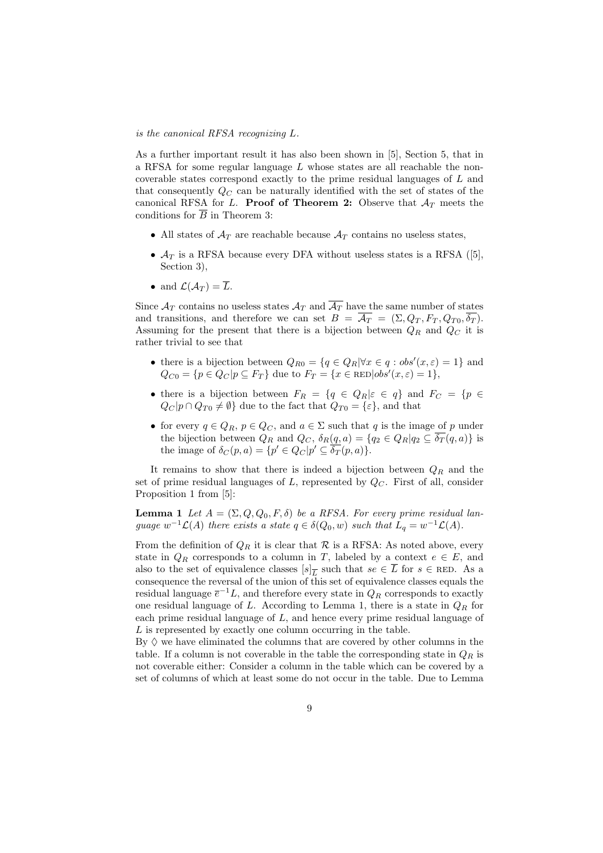#### is the canonical RFSA recognizing L.

As a further important result it has also been shown in [5], Section 5, that in a RFSA for some regular language  $L$  whose states are all reachable the noncoverable states correspond exactly to the prime residual languages of L and that consequently  $Q_C$  can be naturally identified with the set of states of the canonical RFSA for L. Proof of Theorem 2: Observe that  $A_T$  meets the conditions for  $\overline{B}$  in Theorem 3:

- All states of  $A_T$  are reachable because  $A_T$  contains no useless states,
- $\mathcal{A}_T$  is a RFSA because every DFA without useless states is a RFSA ([5], Section 3),
- and  $\mathcal{L}(\mathcal{A}_T) = \overline{L}$ .

Since  $\mathcal{A}_T$  contains no useless states  $\mathcal{A}_T$  and  $\overline{\mathcal{A}_T}$  have the same number of states and transitions, and therefore we can set  $B = \overline{A_T} = (\Sigma, Q_T, F_T, Q_{T0}, \overline{\delta_T}).$ Assuming for the present that there is a bijection between  $Q_R$  and  $Q_C$  it is rather trivial to see that

- there is a bijection between  $Q_{R0} = \{q \in Q_R | \forall x \in q : obs'(x, \varepsilon) = 1\}$  and  $Q_{C0} = \{p \in Q_C | p \subseteq F_T\}$  due to  $F_T = \{x \in \text{RED}|obs'(x, \varepsilon) = 1\},\$
- there is a bijection between  $F_R = \{q \in Q_R | \varepsilon \in q\}$  and  $F_C = \{p \in$  $Q_C |p \cap Q_{T0} \neq \emptyset$  due to the fact that  $Q_{T0} = {\varepsilon}$ , and that
- for every  $q \in Q_R$ ,  $p \in Q_C$ , and  $a \in \Sigma$  such that q is the image of p under the bijection between  $Q_R$  and  $Q_C$ ,  $\delta_R(q, a) = \{q_2 \in Q_R | q_2 \subseteq \overline{\delta_T}(q, a)\}\$ is the image of  $\delta_C(p, a) = \{p' \in Q_C | p' \subseteq \overline{\delta_T}(p, a)\}.$

It remains to show that there is indeed a bijection between  $Q_R$  and the set of prime residual languages of  $L$ , represented by  $Q_C$ . First of all, consider Proposition 1 from [5]:

**Lemma 1** Let  $A = (\Sigma, Q, Q_0, F, \delta)$  be a RFSA. For every prime residual language  $w^{-1}\mathcal{L}(A)$  there exists a state  $q \in \delta(Q_0, w)$  such that  $L_q = w^{-1}\mathcal{L}(A)$ .

From the definition of  $Q_R$  it is clear that  $R$  is a RFSA: As noted above, every state in  $Q_R$  corresponds to a column in T, labeled by a context  $e \in E$ , and also to the set of equivalence classes  $[s]_L$  such that  $se \in \overline{L}$  for  $s \in$  RED. As a consequence the reversal of the union of this set of equivalence classes equals the residual language  $\overline{e}^{-1}L$ , and therefore every state in  $Q_R$  corresponds to exactly one residual language of L. According to Lemma 1, there is a state in  $Q_R$  for each prime residual language of L, and hence every prime residual language of L is represented by exactly one column occurring in the table.

By  $\Diamond$  we have eliminated the columns that are covered by other columns in the table. If a column is not coverable in the table the corresponding state in  $Q_R$  is not coverable either: Consider a column in the table which can be covered by a set of columns of which at least some do not occur in the table. Due to Lemma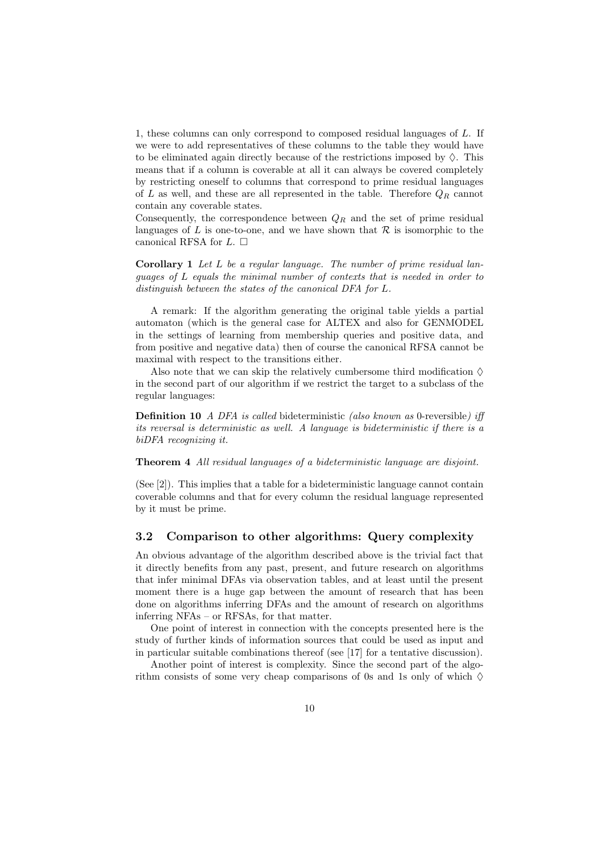1, these columns can only correspond to composed residual languages of L. If we were to add representatives of these columns to the table they would have to be eliminated again directly because of the restrictions imposed by  $\Diamond$ . This means that if a column is coverable at all it can always be covered completely by restricting oneself to columns that correspond to prime residual languages of  $L$  as well, and these are all represented in the table. Therefore  $Q_R$  cannot contain any coverable states.

Consequently, the correspondence between  $Q_R$  and the set of prime residual languages of L is one-to-one, and we have shown that  $\mathcal R$  is isomorphic to the canonical RFSA for  $L$ .  $\Box$ 

Corollary 1 Let L be a regular language. The number of prime residual languages of L equals the minimal number of contexts that is needed in order to distinguish between the states of the canonical DFA for L.

A remark: If the algorithm generating the original table yields a partial automaton (which is the general case for ALTEX and also for GENMODEL in the settings of learning from membership queries and positive data, and from positive and negative data) then of course the canonical RFSA cannot be maximal with respect to the transitions either.

Also note that we can skip the relatively cumbersome third modification  $\diamond$ in the second part of our algorithm if we restrict the target to a subclass of the regular languages:

Definition 10 A DFA is called bideterministic (also known as 0-reversible) iff its reversal is deterministic as well. A language is bideterministic if there is a biDFA recognizing it.

#### Theorem 4 All residual languages of a bideterministic language are disjoint.

(See [2]). This implies that a table for a bideterministic language cannot contain coverable columns and that for every column the residual language represented by it must be prime.

#### 3.2 Comparison to other algorithms: Query complexity

An obvious advantage of the algorithm described above is the trivial fact that it directly benefits from any past, present, and future research on algorithms that infer minimal DFAs via observation tables, and at least until the present moment there is a huge gap between the amount of research that has been done on algorithms inferring DFAs and the amount of research on algorithms inferring NFAs – or RFSAs, for that matter.

One point of interest in connection with the concepts presented here is the study of further kinds of information sources that could be used as input and in particular suitable combinations thereof (see [17] for a tentative discussion).

Another point of interest is complexity. Since the second part of the algorithm consists of some very cheap comparisons of 0s and 1s only of which  $\Diamond$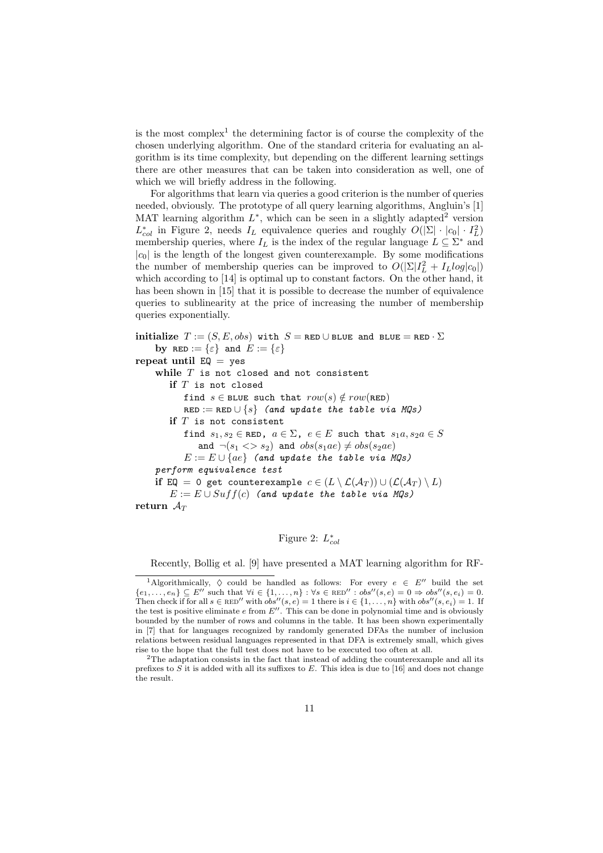is the most complex<sup>1</sup> the determining factor is of course the complexity of the chosen underlying algorithm. One of the standard criteria for evaluating an algorithm is its time complexity, but depending on the different learning settings there are other measures that can be taken into consideration as well, one of which we will briefly address in the following.

For algorithms that learn via queries a good criterion is the number of queries needed, obviously. The prototype of all query learning algorithms, Angluin's [1] MAT learning algorithm  $L^*$ , which can be seen in a slightly adapted<sup>2</sup> version  $L_{col}^*$  in Figure 2, needs  $I_L$  equivalence queries and roughly  $O(|\Sigma| \cdot |c_0| \cdot I_L^2)$ membership queries, where  $I_L$  is the index of the regular language  $L \subseteq \Sigma^*$  and  $|c_0|$  is the length of the longest given counterexample. By some modifications the number of membership queries can be improved to  $O(|\Sigma|I_L^2 + I_L log|c_0|)$ which according to [14] is optimal up to constant factors. On the other hand, it has been shown in [15] that it is possible to decrease the number of equivalence queries to sublinearity at the price of increasing the number of membership queries exponentially.

initialize  $T := (S, E, obs)$  with  $S = \texttt{RED} \cup \texttt{BLE}$  and  $\texttt{BLE} = \texttt{RED} \cdot \Sigma$ by RED :=  $\{\varepsilon\}$  and  $E := \{\varepsilon\}$ repeat until  $EQ = \gamma eS$ while  $T$  is not closed and not consistent if  $T$  is not closed find  $s \in$  BLUE such that  $row(s) \notin row(\texttt{RED})$  $RED := RED \cup \{s\}$  (and update the table via MQs) if  $T$  is not consistent find  $s_1, s_2 \in \texttt{RED}$ ,  $a \in \Sigma$ ,  $e \in E$  such that  $s_1a, s_2a \in S$ and  $\neg(s_1 \ll s_2)$  and  $obs(s_1ae) \neq obs(s_2ae)$  $E := E \cup \{ae\}$  (and update the table via MQs) perform equivalence test if EQ = 0 get counterexample  $c \in (L \setminus \mathcal{L}(\mathcal{A}_T)) \cup (\mathcal{L}(\mathcal{A}_T) \setminus L)$  $E := E \cup Suff(c)$  (and update the table via MQs) return  $A_T$ 

### Figure 2:  $L_{col}^*$

Recently, Bollig et al. [9] have presented a MAT learning algorithm for RF-

<sup>&</sup>lt;sup>1</sup>Algorithmically,  $\Diamond$  could be handled as follows: For every  $e \in E''$  build the set  ${e_1, \ldots, e_n} \subseteq E''$  such that  $\forall i \in \{1, \ldots, n\} : \forall s \in \text{RED}'' : obs''(s, e) = 0 \Rightarrow obs''(s, e_i) = 0.$ Then check if for all  $s \in \text{RED}''$  with  $obs''(s, e) = 1$  there is  $i \in \{1, \ldots, n\}$  with  $obs''(s, e_i) = 1$ . If the test is positive eliminate  $e$  from  $E''$ . This can be done in polynomial time and is obviously bounded by the number of rows and columns in the table. It has been shown experimentally in [7] that for languages recognized by randomly generated DFAs the number of inclusion relations between residual languages represented in that DFA is extremely small, which gives rise to the hope that the full test does not have to be executed too often at all.

<sup>2</sup>The adaptation consists in the fact that instead of adding the counterexample and all its prefixes to  $S$  it is added with all its suffixes to  $E$ . This idea is due to [16] and does not change the result.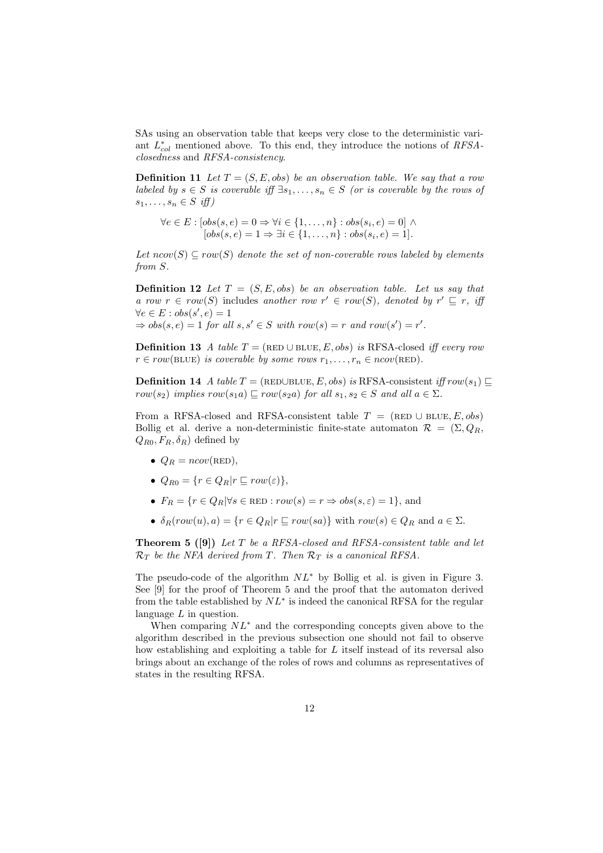SAs using an observation table that keeps very close to the deterministic variant  $L_{col}^*$  mentioned above. To this end, they introduce the notions of  $RFSA$ closedness and RFSA-consistency.

**Definition 11** Let  $T = (S, E, obs)$  be an observation table. We say that a row labeled by  $s \in S$  is coverable iff  $\exists s_1, \ldots, s_n \in S$  (or is coverable by the rows of  $s_1, \ldots, s_n \in S$  iff)

 $\forall e \in E : [obs(s, e) = 0 \Rightarrow \forall i \in \{1, \dots, n\} : obs(s_i, e) = 0] \land$  $[obs(s, e) = 1 \Rightarrow \exists i \in \{1, ..., n\} : obs(s_i, e) = 1].$ 

Let  $ncov(S) \subseteq row(S)$  denote the set of non-coverable rows labeled by elements from S.

**Definition 12** Let  $T = (S, E, obs)$  be an observation table. Let us say that a row  $r \in row(S)$  includes another row  $r' \in row(S)$ , denoted by  $r' \subseteq r$ , if  $\forall e \in E : obs(s', e) = 1$  $\Rightarrow obs(s, e) = 1$  for all  $s, s' \in S$  with  $row(s) = r$  and  $row(s') = r'$ .

Definition 13 A table  $T = (RED \cup BLUE, E, obs)$  is RFSA-closed iff every row  $r \in row(BLUE)$  is coverable by some rows  $r_1, \ldots, r_n \in ncov(RED)$ .

**Definition 14** A table  $T = (RED \cup BLE, E, obs)$  is RFSA-consistent iff row(s<sub>1</sub>) ⊆ row(s<sub>2</sub>) implies row(s<sub>1</sub>a)  $\sqsubseteq$  row(s<sub>2</sub>a) for all s<sub>1</sub>, s<sub>2</sub>  $\in$  S and all a  $\in \Sigma$ .

From a RFSA-closed and RFSA-consistent table  $T = (RED \cup BLUE, E, obs)$ Bollig et al. derive a non-deterministic finite-state automaton  $\mathcal{R} = (\Sigma, Q_R, \Sigma)$  $Q_{R0}, F_R, \delta_R$ ) defined by

- $Q_R = ncov(\text{RED}),$
- $Q_{R0} = \{r \in Q_R | r \sqsubseteq row(\varepsilon) \},\$
- $F_R = \{r \in Q_R | \forall s \in \text{RED} : row(s) = r \Rightarrow obs(s, \varepsilon) = 1\},\$ and
- $\delta_R(\text{row}(u), a) = \{r \in Q_R | r \sqsubseteq \text{row}(sa)\}\$  with  $\text{row}(s) \in Q_R$  and  $a \in \Sigma$ .

Theorem 5 ([9]) Let T be a RFSA-closed and RFSA-consistent table and let  $\mathcal{R}_T$  be the NFA derived from T. Then  $\mathcal{R}_T$  is a canonical RFSA.

The pseudo-code of the algorithm  $NL^*$  by Bollig et al. is given in Figure 3. See [9] for the proof of Theorem 5 and the proof that the automaton derived from the table established by  $NL^*$  is indeed the canonical RFSA for the regular language L in question.

When comparing  $NL^*$  and the corresponding concepts given above to the algorithm described in the previous subsection one should not fail to observe how establishing and exploiting a table for L itself instead of its reversal also brings about an exchange of the roles of rows and columns as representatives of states in the resulting RFSA.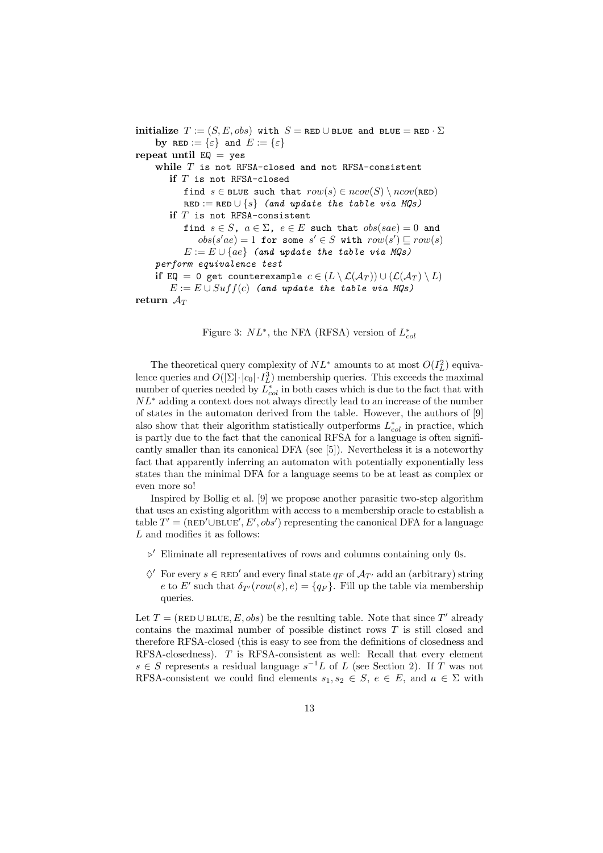initialize  $T := (S, E, obs)$  with  $S = \text{RED} \cup \text{BLE}$  and  $\text{BLE} = \text{RED} \cdot \Sigma$ by  $\mathtt{RED} := \{\varepsilon\}$  and  $E := \{\varepsilon\}$ repeat until  $EQ = yes$ while  $T$  is not RFSA-closed and not RFSA-consistent if  $T$  is not RFSA-closed find  $s \in$  BLUE such that  $row(s) \in ncov(S) \setminus ncov(\texttt{RED})$  $RED := RED \cup \{s\}$  (and update the table via MQs) if  $T$  is not RFSA-consistent find  $s \in S$ ,  $a \in \Sigma$ ,  $e \in E$  such that  $obs(sae) = 0$  and  $obs(s'ae) = 1$  for some  $s' \in S$  with  $row(s') \sqsubseteq row(s)$  $E := E \cup \{ae\}$  (and update the table via MQs) perform equivalence test if EQ = 0 get counterexample  $c \in (L \setminus \mathcal{L}(\mathcal{A}_T)) \cup (\mathcal{L}(\mathcal{A}_T) \setminus L)$  $E := E \cup Suff(c)$  (and update the table via MQs) return  $\mathcal{A}_T$ 

Figure 3:  $NL^*$ , the NFA (RFSA) version of  $L_{col}^*$ 

The theoretical query complexity of  $NL^*$  amounts to at most  $O(I_L^2)$  equivalence queries and  $O(|\Sigma| \cdot |c_0| \cdot I_L^3)$  membership queries. This exceeds the maximal number of queries needed by  $L_{col}^*$  in both cases which is due to the fact that with  $NL^*$  adding a context does not always directly lead to an increase of the number of states in the automaton derived from the table. However, the authors of [9] also show that their algorithm statistically outperforms  $L_{col}^*$  in practice, which is partly due to the fact that the canonical RFSA for a language is often significantly smaller than its canonical DFA (see [5]). Nevertheless it is a noteworthy fact that apparently inferring an automaton with potentially exponentially less states than the minimal DFA for a language seems to be at least as complex or even more so!

Inspired by Bollig et al. [9] we propose another parasitic two-step algorithm that uses an existing algorithm with access to a membership oracle to establish a table  $T' = (RED' \cup BLE', E', obs')$  representing the canonical DFA for a language L and modifies it as follows:

- $\triangleright'$  Eliminate all representatives of rows and columns containing only 0s.
- $\Diamond'$  For every  $s \in \text{RED}'$  and every final state  $q_F$  of  $\mathcal{A}_{T'}$  add an (arbitrary) string e to E' such that  $\delta_{T'}(row(s), e) = \{q_F\}$ . Fill up the table via membership queries.

Let  $T = (RED \cup B \cup E, E, obs)$  be the resulting table. Note that since T' already contains the maximal number of possible distinct rows T is still closed and therefore RFSA-closed (this is easy to see from the definitions of closedness and RFSA-closedness). T is RFSA-consistent as well: Recall that every element  $s \in S$  represents a residual language  $s^{-1}L$  of L (see Section 2). If T was not RFSA-consistent we could find elements  $s_1, s_2 \in S$ ,  $e \in E$ , and  $a \in \Sigma$  with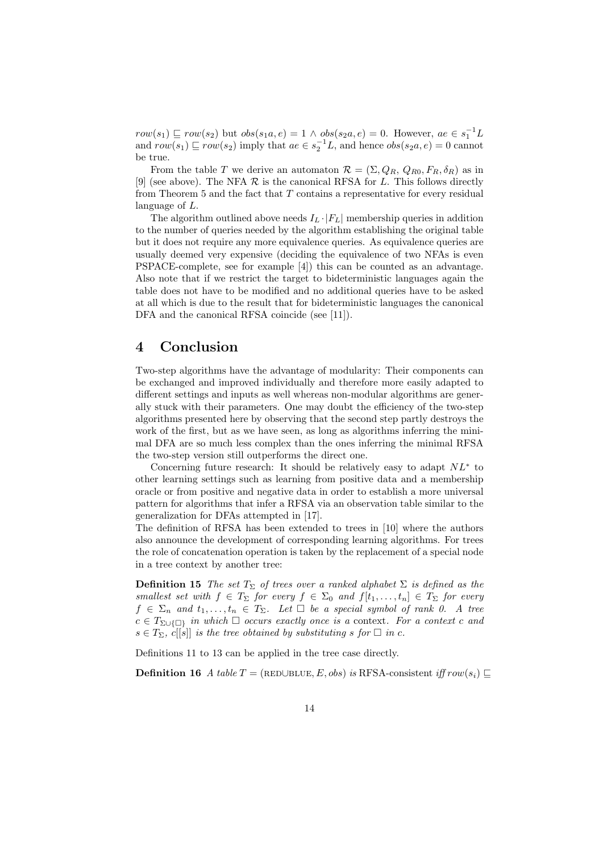$row(s_1) \sqsubseteq row(s_2)$  but  $obs(s_1a, e) = 1 \wedge obs(s_2a, e) = 0$ . However,  $ae \in s_1^{-1}L$ and  $row(s_1) \sqsubseteq row(s_2)$  imply that  $ae \in s_2^{-1}L$ , and hence  $obs(s_2a, e) = 0$  cannot be true.

From the table T we derive an automaton  $\mathcal{R} = (\Sigma, Q_R, Q_{R0}, F_R, \delta_R)$  as in [9] (see above). The NFA  $R$  is the canonical RFSA for  $L$ . This follows directly from Theorem 5 and the fact that  $T$  contains a representative for every residual language of L.

The algorithm outlined above needs  $I_L \cdot |F_L|$  membership queries in addition to the number of queries needed by the algorithm establishing the original table but it does not require any more equivalence queries. As equivalence queries are usually deemed very expensive (deciding the equivalence of two NFAs is even PSPACE-complete, see for example [4]) this can be counted as an advantage. Also note that if we restrict the target to bideterministic languages again the table does not have to be modified and no additional queries have to be asked at all which is due to the result that for bideterministic languages the canonical DFA and the canonical RFSA coincide (see [11]).

## 4 Conclusion

Two-step algorithms have the advantage of modularity: Their components can be exchanged and improved individually and therefore more easily adapted to different settings and inputs as well whereas non-modular algorithms are generally stuck with their parameters. One may doubt the efficiency of the two-step algorithms presented here by observing that the second step partly destroys the work of the first, but as we have seen, as long as algorithms inferring the minimal DFA are so much less complex than the ones inferring the minimal RFSA the two-step version still outperforms the direct one.

Concerning future research: It should be relatively easy to adapt  $NL^*$  to other learning settings such as learning from positive data and a membership oracle or from positive and negative data in order to establish a more universal pattern for algorithms that infer a RFSA via an observation table similar to the generalization for DFAs attempted in [17].

The definition of RFSA has been extended to trees in [10] where the authors also announce the development of corresponding learning algorithms. For trees the role of concatenation operation is taken by the replacement of a special node in a tree context by another tree:

**Definition 15** The set  $T_{\Sigma}$  of trees over a ranked alphabet  $\Sigma$  is defined as the smallest set with  $f \in T_{\Sigma}$  for every  $f \in \Sigma_0$  and  $f[t_1, \ldots, t_n] \in T_{\Sigma}$  for every  $f \in \Sigma_n$  and  $t_1, \ldots, t_n \in T_\Sigma$ . Let  $\Box$  be a special symbol of rank 0. A tree  $c \in T_{\Sigma \cup \{\Box\}}$  in which  $\Box$  occurs exactly once is a context. For a context c and  $s \in T_{\Sigma}$ , c[[s]] is the tree obtained by substituting s for  $\square$  in c.

Definitions 11 to 13 can be applied in the tree case directly.

**Definition 16** A table  $T = (RED \cup BLE, E, obs)$  is RFSA-consistent iff row(s<sub>i</sub>) ⊏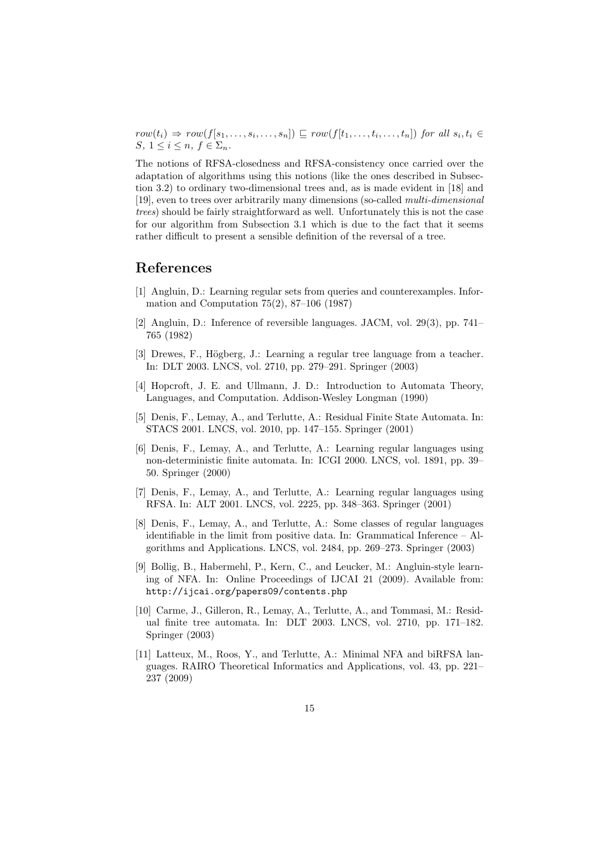$row(t_i) \Rightarrow row(f[s_1, \ldots, s_i, \ldots, s_n]) \sqsubseteq row(f[t_1, \ldots, t_i, \ldots, t_n])$  for all  $s_i, t_i \in$ S,  $1 \leq i \leq n$ ,  $f \in \Sigma_n$ .

The notions of RFSA-closedness and RFSA-consistency once carried over the adaptation of algorithms using this notions (like the ones described in Subsection 3.2) to ordinary two-dimensional trees and, as is made evident in [18] and [19], even to trees over arbitrarily many dimensions (so-called multi-dimensional trees) should be fairly straightforward as well. Unfortunately this is not the case for our algorithm from Subsection 3.1 which is due to the fact that it seems rather difficult to present a sensible definition of the reversal of a tree.

### References

- [1] Angluin, D.: Learning regular sets from queries and counterexamples. Information and Computation 75(2), 87–106 (1987)
- [2] Angluin, D.: Inference of reversible languages. JACM, vol. 29(3), pp. 741– 765 (1982)
- [3] Drewes, F., Högberg, J.: Learning a regular tree language from a teacher. In: DLT 2003. LNCS, vol. 2710, pp. 279–291. Springer (2003)
- [4] Hopcroft, J. E. and Ullmann, J. D.: Introduction to Automata Theory, Languages, and Computation. Addison-Wesley Longman (1990)
- [5] Denis, F., Lemay, A., and Terlutte, A.: Residual Finite State Automata. In: STACS 2001. LNCS, vol. 2010, pp. 147–155. Springer (2001)
- [6] Denis, F., Lemay, A., and Terlutte, A.: Learning regular languages using non-deterministic finite automata. In: ICGI 2000. LNCS, vol. 1891, pp. 39– 50. Springer (2000)
- [7] Denis, F., Lemay, A., and Terlutte, A.: Learning regular languages using RFSA. In: ALT 2001. LNCS, vol. 2225, pp. 348–363. Springer (2001)
- [8] Denis, F., Lemay, A., and Terlutte, A.: Some classes of regular languages identifiable in the limit from positive data. In: Grammatical Inference – Algorithms and Applications. LNCS, vol. 2484, pp. 269–273. Springer (2003)
- [9] Bollig, B., Habermehl, P., Kern, C., and Leucker, M.: Angluin-style learning of NFA. In: Online Proceedings of IJCAI 21 (2009). Available from: http://ijcai.org/papers09/contents.php
- [10] Carme, J., Gilleron, R., Lemay, A., Terlutte, A., and Tommasi, M.: Residual finite tree automata. In: DLT 2003. LNCS, vol. 2710, pp. 171–182. Springer (2003)
- [11] Latteux, M., Roos, Y., and Terlutte, A.: Minimal NFA and biRFSA languages. RAIRO Theoretical Informatics and Applications, vol. 43, pp. 221– 237 (2009)